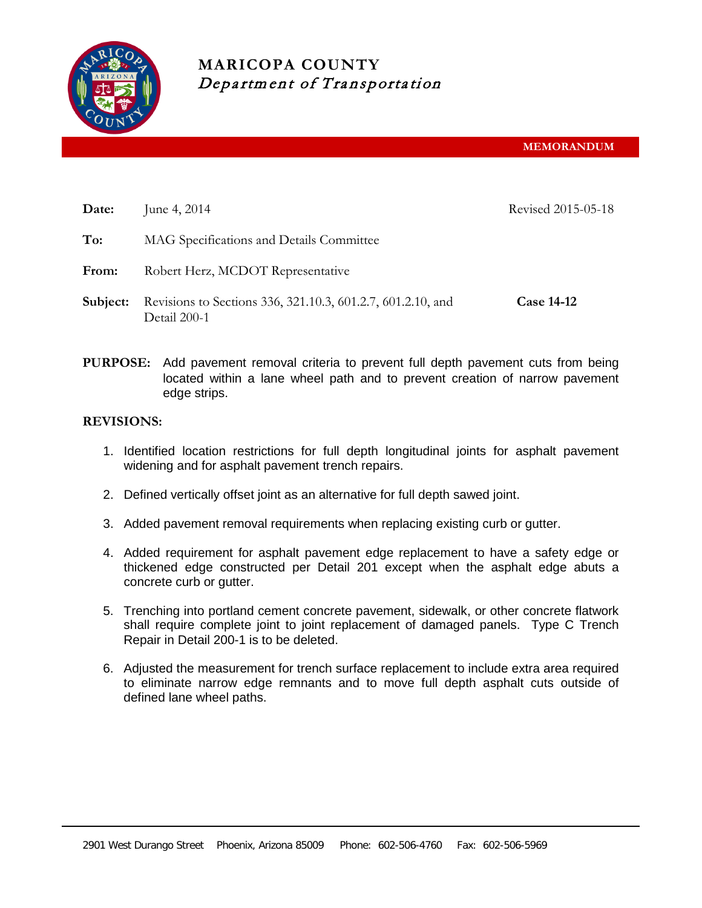

# **MARICOPA COUNTY** Department of Transportation

**MEMORANDUM**

| Date:    | June 4, 2014                                                                | Revised 2015-05-18 |
|----------|-----------------------------------------------------------------------------|--------------------|
| To:      | MAG Specifications and Details Committee                                    |                    |
| From:    | Robert Herz, MCDOT Representative                                           |                    |
| Subject: | Revisions to Sections 336, 321.10.3, 601.2.7, 601.2.10, and<br>Detail 200-1 | <b>Case 14-12</b>  |

**PURPOSE:** Add pavement removal criteria to prevent full depth pavement cuts from being located within a lane wheel path and to prevent creation of narrow pavement edge strips.

# **REVISIONS:**

- 1. Identified location restrictions for full depth longitudinal joints for asphalt pavement widening and for asphalt pavement trench repairs.
- 2. Defined vertically offset joint as an alternative for full depth sawed joint.
- 3. Added pavement removal requirements when replacing existing curb or gutter.
- 4. Added requirement for asphalt pavement edge replacement to have a safety edge or thickened edge constructed per Detail 201 except when the asphalt edge abuts a concrete curb or gutter.
- 5. Trenching into portland cement concrete pavement, sidewalk, or other concrete flatwork shall require complete joint to joint replacement of damaged panels. Type C Trench Repair in Detail 200-1 is to be deleted.
- 6. Adjusted the measurement for trench surface replacement to include extra area required to eliminate narrow edge remnants and to move full depth asphalt cuts outside of defined lane wheel paths.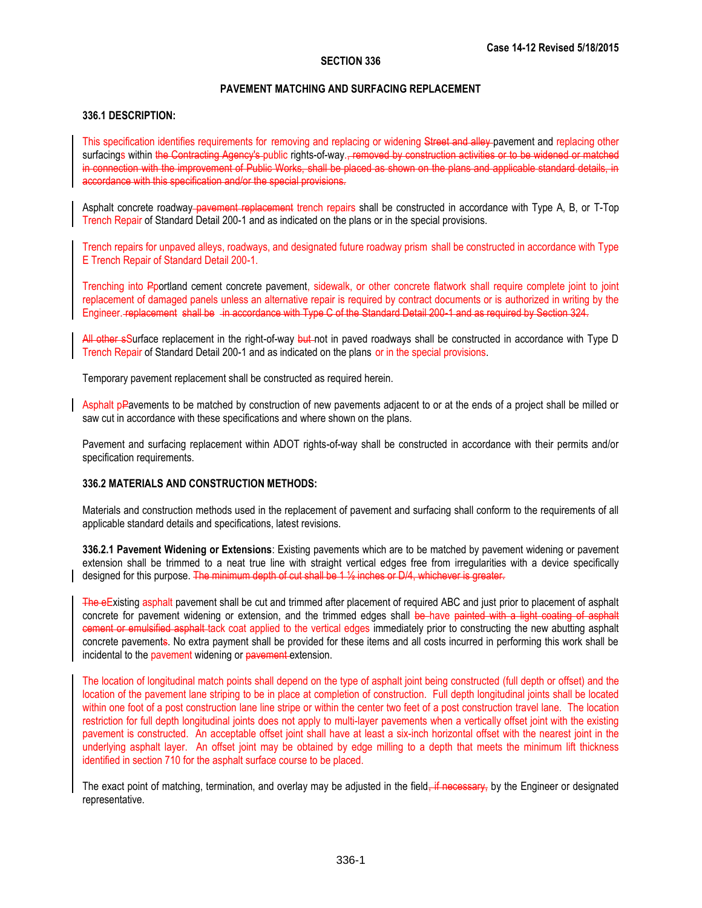# **PAVEMENT MATCHING AND SURFACING REPLACEMENT**

# **336.1 DESCRIPTION:**

This specification identifies requirements for removing and replacing or widening Street and alley pavement and replacing other surfacings within the Contracting Agency's public rights-of-way., removed by construction activities or to be widened or matched in connection with the improvement of Public Works, shall be placed as shown on the plans and applicable standard details, in accordance with this specification and/or the special provisions.

Asphalt concrete roadway-pavement replacement trench repairs shall be constructed in accordance with Type A, B, or T-Top Trench Repair of Standard Detail 200-1 and as indicated on the plans or in the special provisions.

Trench repairs for unpaved alleys, roadways, and designated future roadway prism shall be constructed in accordance with Type E Trench Repair of Standard Detail 200-1.

Trenching into Pportland cement concrete pavement, sidewalk, or other concrete flatwork shall require complete joint to joint replacement of damaged panels unless an alternative repair is required by contract documents or is authorized in writing by the Engineer. replacement shall be in accordance with Type C of the Standard Detail 200-1 and as required by Section 324.

All other sSurface replacement in the right-of-way but not in paved roadways shall be constructed in accordance with Type D Trench Repair of Standard Detail 200-1 and as indicated on the plans or in the special provisions.

Temporary pavement replacement shall be constructed as required herein.

Asphalt pPavements to be matched by construction of new pavements adjacent to or at the ends of a project shall be milled or saw cut in accordance with these specifications and where shown on the plans.

Pavement and surfacing replacement within ADOT rights-of-way shall be constructed in accordance with their permits and/or specification requirements.

# **336.2 MATERIALS AND CONSTRUCTION METHODS:**

Materials and construction methods used in the replacement of pavement and surfacing shall conform to the requirements of all applicable standard details and specifications, latest revisions.

**336.2.1 Pavement Widening or Extensions**: Existing pavements which are to be matched by pavement widening or pavement extension shall be trimmed to a neat true line with straight vertical edges free from irregularities with a device specifically designed for this purpose. The minimum depth of cut shall be 1 % inches or D/4, whichever is greater.

The eExisting asphalt pavement shall be cut and trimmed after placement of required ABC and just prior to placement of asphalt concrete for pavement widening or extension, and the trimmed edges shall be have painted with a light coating of asphalt cement or emulsified asphalt tack coat applied to the vertical edges immediately prior to constructing the new abutting asphalt concrete pavements. No extra payment shall be provided for these items and all costs incurred in performing this work shall be incidental to the pavement widening or pavement extension.

The location of longitudinal match points shall depend on the type of asphalt joint being constructed (full depth or offset) and the location of the pavement lane striping to be in place at completion of construction. Full depth longitudinal joints shall be located within one foot of a post construction lane line stripe or within the center two feet of a post construction travel lane. The location restriction for full depth longitudinal joints does not apply to multi-layer pavements when a vertically offset joint with the existing pavement is constructed. An acceptable offset joint shall have at least a six-inch horizontal offset with the nearest joint in the underlying asphalt layer. An offset joint may be obtained by edge milling to a depth that meets the minimum lift thickness identified in section 710 for the asphalt surface course to be placed.

The exact point of matching, termination, and overlay may be adjusted in the field, if necessary, by the Engineer or designated representative.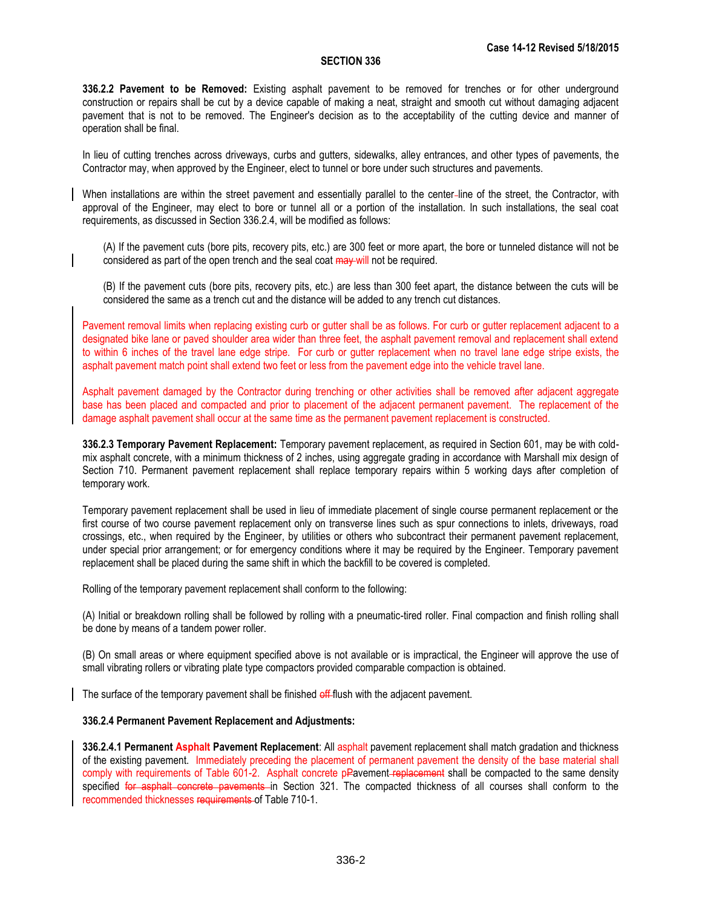**336.2.2 Pavement to be Removed:** Existing asphalt pavement to be removed for trenches or for other underground construction or repairs shall be cut by a device capable of making a neat, straight and smooth cut without damaging adjacent pavement that is not to be removed. The Engineer's decision as to the acceptability of the cutting device and manner of operation shall be final.

In lieu of cutting trenches across driveways, curbs and gutters, sidewalks, alley entrances, and other types of pavements, the Contractor may, when approved by the Engineer, elect to tunnel or bore under such structures and pavements.

When installations are within the street pavement and essentially parallel to the center line of the street, the Contractor, with approval of the Engineer, may elect to bore or tunnel all or a portion of the installation. In such installations, the seal coat requirements, as discussed in Section 336.2.4, will be modified as follows:

(A) If the pavement cuts (bore pits, recovery pits, etc.) are 300 feet or more apart, the bore or tunneled distance will not be considered as part of the open trench and the seal coat  $\frac{1}{2}$  may will not be required.

(B) If the pavement cuts (bore pits, recovery pits, etc.) are less than 300 feet apart, the distance between the cuts will be considered the same as a trench cut and the distance will be added to any trench cut distances.

Pavement removal limits when replacing existing curb or gutter shall be as follows. For curb or gutter replacement adjacent to a designated bike lane or paved shoulder area wider than three feet, the asphalt pavement removal and replacement shall extend to within 6 inches of the travel lane edge stripe. For curb or gutter replacement when no travel lane edge stripe exists, the asphalt pavement match point shall extend two feet or less from the pavement edge into the vehicle travel lane.

Asphalt pavement damaged by the Contractor during trenching or other activities shall be removed after adjacent aggregate base has been placed and compacted and prior to placement of the adjacent permanent pavement. The replacement of the damage asphalt pavement shall occur at the same time as the permanent pavement replacement is constructed.

**336.2.3 Temporary Pavement Replacement:** Temporary pavement replacement, as required in Section 601, may be with coldmix asphalt concrete, with a minimum thickness of 2 inches, using aggregate grading in accordance with Marshall mix design of Section 710. Permanent pavement replacement shall replace temporary repairs within 5 working days after completion of temporary work.

Temporary pavement replacement shall be used in lieu of immediate placement of single course permanent replacement or the first course of two course pavement replacement only on transverse lines such as spur connections to inlets, driveways, road crossings, etc., when required by the Engineer, by utilities or others who subcontract their permanent pavement replacement, under special prior arrangement; or for emergency conditions where it may be required by the Engineer. Temporary pavement replacement shall be placed during the same shift in which the backfill to be covered is completed.

Rolling of the temporary pavement replacement shall conform to the following:

(A) Initial or breakdown rolling shall be followed by rolling with a pneumatic-tired roller. Final compaction and finish rolling shall be done by means of a tandem power roller.

(B) On small areas or where equipment specified above is not available or is impractical, the Engineer will approve the use of small vibrating rollers or vibrating plate type compactors provided comparable compaction is obtained.

The surface of the temporary pavement shall be finished off-flush with the adjacent pavement.

# **336.2.4 Permanent Pavement Replacement and Adjustments:**

**336.2.4.1 Permanent Asphalt Pavement Replacement**: All asphalt pavement replacement shall match gradation and thickness of the existing pavement. Immediately preceding the placement of permanent pavement the density of the base material shall comply with requirements of Table 601-2. Asphalt concrete pPavement-replacement shall be compacted to the same density specified for asphalt concrete pavements in Section 321. The compacted thickness of all courses shall conform to the recommended thicknesses requirements of Table 710-1.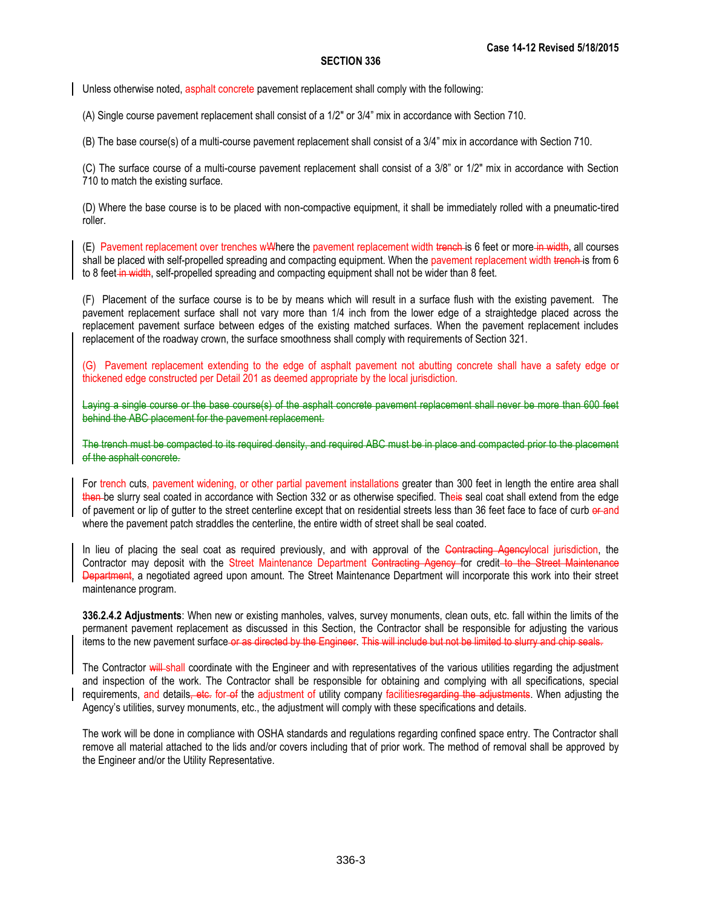Unless otherwise noted, asphalt concrete pavement replacement shall comply with the following:

(A) Single course pavement replacement shall consist of a 1/2" or 3/4" mix in accordance with Section 710.

(B) The base course(s) of a multi-course pavement replacement shall consist of a 3/4" mix in accordance with Section 710.

(C) The surface course of a multi-course pavement replacement shall consist of a 3/8" or 1/2" mix in accordance with Section 710 to match the existing surface.

(D) Where the base course is to be placed with non-compactive equipment, it shall be immediately rolled with a pneumatic-tired roller.

(E) Pavement replacement over trenches w<sup>t</sup> Where the pavement replacement width trench is 6 feet or more in width, all courses shall be placed with self-propelled spreading and compacting equipment. When the pavement replacement width trench- is from 6 to 8 feet-in-width, self-propelled spreading and compacting equipment shall not be wider than 8 feet.

(F) Placement of the surface course is to be by means which will result in a surface flush with the existing pavement. The pavement replacement surface shall not vary more than 1/4 inch from the lower edge of a straightedge placed across the replacement pavement surface between edges of the existing matched surfaces. When the pavement replacement includes replacement of the roadway crown, the surface smoothness shall comply with requirements of Section 321.

(G) Pavement replacement extending to the edge of asphalt pavement not abutting concrete shall have a safety edge or thickened edge constructed per Detail 201 as deemed appropriate by the local jurisdiction.

Laying a single course or the base course(s) of the asphalt concrete pavement replacement shall never be more than 600 feet behind the ABC placement for the pavement replacement.

The trench must be compacted to its required density, and required ABC must be in place and compacted prior to the placement of the asphalt concrete.

For trench cuts, pavement widening, or other partial pavement installations greater than 300 feet in length the entire area shall then be slurry seal coated in accordance with Section 332 or as otherwise specified. Theis seal coat shall extend from the edge of pavement or lip of gutter to the street centerline except that on residential streets less than 36 feet face to face of curb or and where the pavement patch straddles the centerline, the entire width of street shall be seal coated.

In lieu of placing the seal coat as required previously, and with approval of the Contracting Agencylocal jurisdiction, the Contractor may deposit with the Street Maintenance Department Contracting Agency for credit-to the Street Maintenance Department, a negotiated agreed upon amount. The Street Maintenance Department will incorporate this work into their street maintenance program.

**336.2.4.2 Adjustments**: When new or existing manholes, valves, survey monuments, clean outs, etc. fall within the limits of the permanent pavement replacement as discussed in this Section, the Contractor shall be responsible for adjusting the various items to the new pavement surface or as directed by the Engineer. This will include but not be limited to slurry and chip seals.

The Contractor will shall coordinate with the Engineer and with representatives of the various utilities regarding the adjustment and inspection of the work. The Contractor shall be responsible for obtaining and complying with all specifications, special requirements, and details, etc. for of the adjustment of utility company facilitiesregarding the adjustments. When adjusting the Agency's utilities, survey monuments, etc., the adjustment will comply with these specifications and details.

The work will be done in compliance with OSHA standards and regulations regarding confined space entry. The Contractor shall remove all material attached to the lids and/or covers including that of prior work. The method of removal shall be approved by the Engineer and/or the Utility Representative.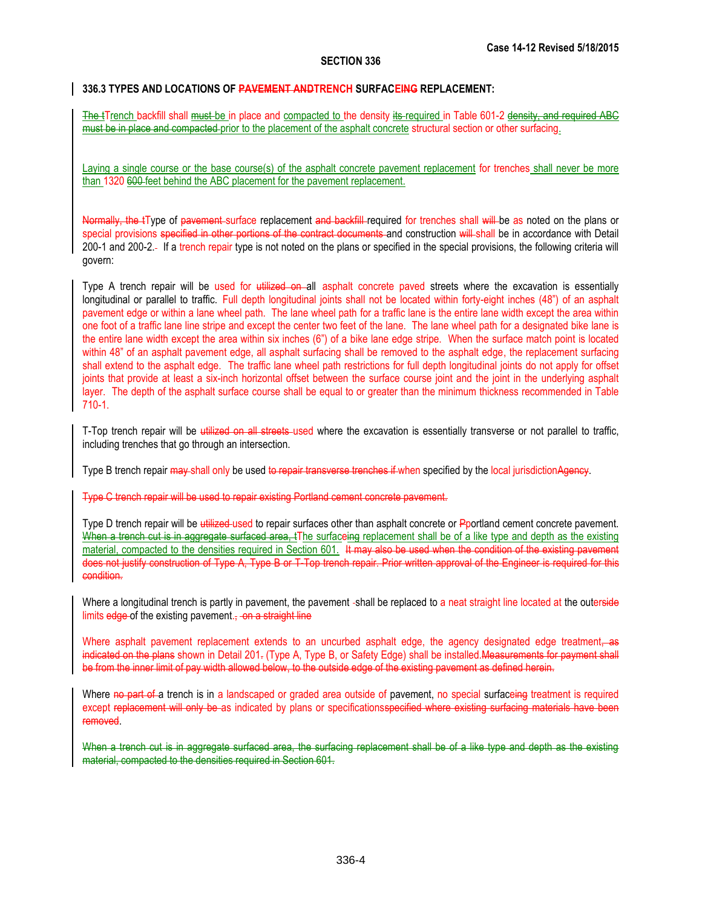# **336.3 TYPES AND LOCATIONS OF PAVEMENT ANDTRENCH SURFACEING REPLACEMENT:**

The tTrench backfill shall must be in place and compacted to the density its required in Table 601-2 density, and required ABC must be in place and compacted prior to the placement of the asphalt concrete structural section or other surfacing.

Laying a single course or the base course(s) of the asphalt concrete pavement replacement for trenches shall never be more than 1320 600 feet behind the ABC placement for the pavement replacement.

Normally, the tType of pavement surface replacement and backfill required for trenches shall will be as noted on the plans or special provisions specified in other portions of the contract documents and construction will shall be in accordance with Detail 200-1 and 200-2. If a trench repair type is not noted on the plans or specified in the special provisions, the following criteria will govern:

Type A trench repair will be used for utilized on all asphalt concrete paved streets where the excavation is essentially longitudinal or parallel to traffic. Full depth longitudinal joints shall not be located within forty-eight inches (48") of an asphalt pavement edge or within a lane wheel path. The lane wheel path for a traffic lane is the entire lane width except the area within one foot of a traffic lane line stripe and except the center two feet of the lane. The lane wheel path for a designated bike lane is the entire lane width except the area within six inches (6") of a bike lane edge stripe. When the surface match point is located within 48" of an asphalt pavement edge, all asphalt surfacing shall be removed to the asphalt edge, the replacement surfacing shall extend to the asphalt edge. The traffic lane wheel path restrictions for full depth longitudinal joints do not apply for offset joints that provide at least a six-inch horizontal offset between the surface course joint and the joint in the underlying asphalt layer. The depth of the asphalt surface course shall be equal to or greater than the minimum thickness recommended in Table 710-1.

T-Top trench repair will be utilized on all streets-used where the excavation is essentially transverse or not parallel to traffic, including trenches that go through an intersection.

Type B trench repair may shall only be used to repair transverse trenches if when specified by the local jurisdiction Agency.

Type C trench repair will be used to repair existing Portland cement concrete pavement.

Type D trench repair will be utilized-used to repair surfaces other than asphalt concrete or Pportland cement concrete pavement. When a trench cut is in aggregate surfaced area, tThe surfaceing replacement shall be of a like type and depth as the existing material, compacted to the densities required in Section 601. It may also be used when the condition of the existing pavement does not justify construction of Type A, Type B or T-Top trench repair. Prior written approval of the Engineer is required for this condition.

Where a longitudinal trench is partly in pavement, the pavement -shall be replaced to a neat straight line located at the outerside limits edge of the existing pavement. $\frac{1}{2}$  on a straight line

Where asphalt pavement replacement extends to an uncurbed asphalt edge, the agency designated edge treatment, as indicated on the plans shown in Detail 201. (Type A, Type B, or Safety Edge) shall be installed.Measurements for payment shall be from the inner limit of pay width allowed below, to the outside edge of the existing pavement as defined herein.

Where no part of a trench is in a landscaped or graded area outside of pavement, no special surfaceing treatment is required except replacement will only be as indicated by plans or specificationsspecified where existing surfacing materials have been removed.

When a trench cut is in aggregate surfaced area, the surfacing replacement shall be of a like type and depth as the existing material, compacted to the densities required in Section 601.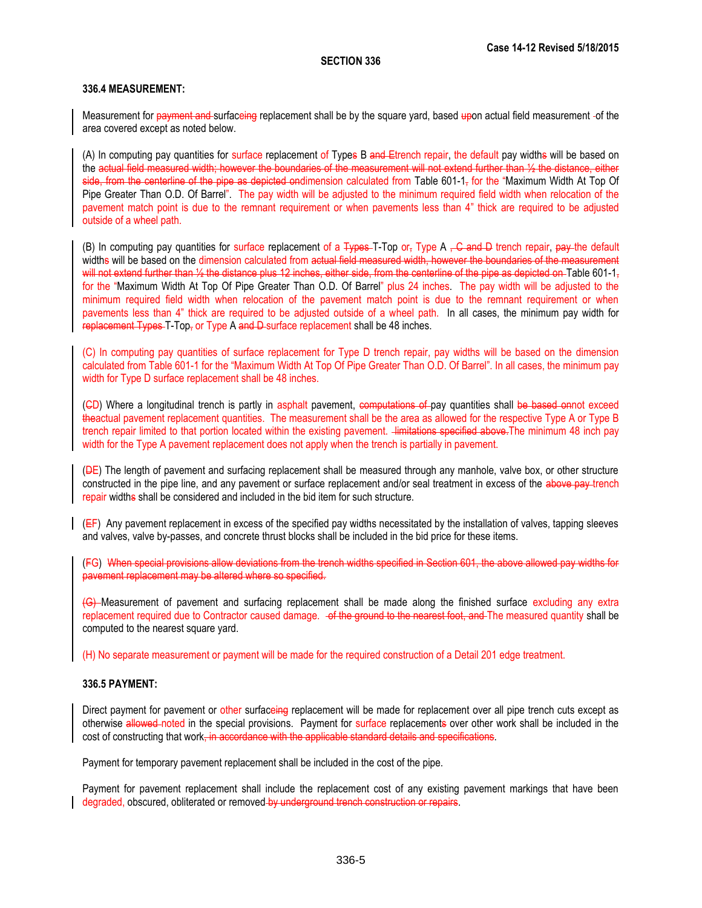### **336.4 MEASUREMENT:**

Measurement for payment and surfaceing replacement shall be by the square yard, based upon actual field measurement -of the area covered except as noted below.

(A) In computing pay quantities for surface replacement of Types B and Etrench repair, the default pay widths will be based on the actual field measured width; however the boundaries of the measurement will not extend further than ½ the distance, either side, from the centerline of the pipe as depicted ondimension calculated from Table 601-1 $<sub>7</sub>$  for the "Maximum Width At Top Of</sub> Pipe Greater Than O.D. Of Barrel". The pay width will be adjusted to the minimum required field width when relocation of the pavement match point is due to the remnant requirement or when pavements less than 4" thick are required to be adjusted outside of a wheel path.

(B) In computing pay quantities for surface replacement of a  $\frac{1}{2}$  Type  $\frac{1}{2}$  Type A  $\frac{1}{2}$  C and D trench repair, pay the default widths will be based on the dimension calculated from actual field measured width, however the boundaries of the measurement will not extend further than 1/<sub>2</sub> the distance plus 12 inches, either side, from the centerline of the pipe as depicted on Table 601-1, for the "Maximum Width At Top Of Pipe Greater Than O.D. Of Barrel" plus 24 inches. The pay width will be adjusted to the minimum required field width when relocation of the pavement match point is due to the remnant requirement or when pavements less than 4" thick are required to be adjusted outside of a wheel path. In all cases, the minimum pay width for replacement Types T-Top, or Type A and D-surface replacement shall be 48 inches.

(C) In computing pay quantities of surface replacement for Type D trench repair, pay widths will be based on the dimension calculated from Table 601-1 for the "Maximum Width At Top Of Pipe Greater Than O.D. Of Barrel". In all cases, the minimum pay width for Type D surface replacement shall be 48 inches.

(GD) Where a longitudinal trench is partly in asphalt pavement, computations of pay quantities shall be based onnot exceed theactual pavement replacement quantities. The measurement shall be the area as allowed for the respective Type A or Type B trench repair limited to that portion located within the existing pavement. Himitations specified above. The minimum 48 inch pay width for the Type A pavement replacement does not apply when the trench is partially in pavement.

(DE) The length of pavement and surfacing replacement shall be measured through any manhole, valve box, or other structure constructed in the pipe line, and any pavement or surface replacement and/or seal treatment in excess of the above pay trench repair widths shall be considered and included in the bid item for such structure.

 $(EF)$  Any pavement replacement in excess of the specified pay widths necessitated by the installation of valves, tapping sleeves and valves, valve by-passes, and concrete thrust blocks shall be included in the bid price for these items.

(FG) When special provisions allow deviations from the trench widths specified in Section 601, the above allowed pay widths for pavement replacement may be altered where so specified.

(G) Measurement of pavement and surfacing replacement shall be made along the finished surface excluding any extra replacement required due to Contractor caused damage.  $-$ of the ground to the nearest foot, and The measured quantity shall be computed to the nearest square yard.

(H) No separate measurement or payment will be made for the required construction of a Detail 201 edge treatment.

### **336.5 PAYMENT:**

Direct payment for pavement or other surfaceing replacement will be made for replacement over all pipe trench cuts except as otherwise allowed noted in the special provisions. Payment for surface replacements over other work shall be included in the cost of constructing that work, in accordance with the applicable standard details and specifications.

Payment for temporary pavement replacement shall be included in the cost of the pipe.

Payment for pavement replacement shall include the replacement cost of any existing pavement markings that have been degraded, obscured, obliterated or removed by underground trench construction or repairs.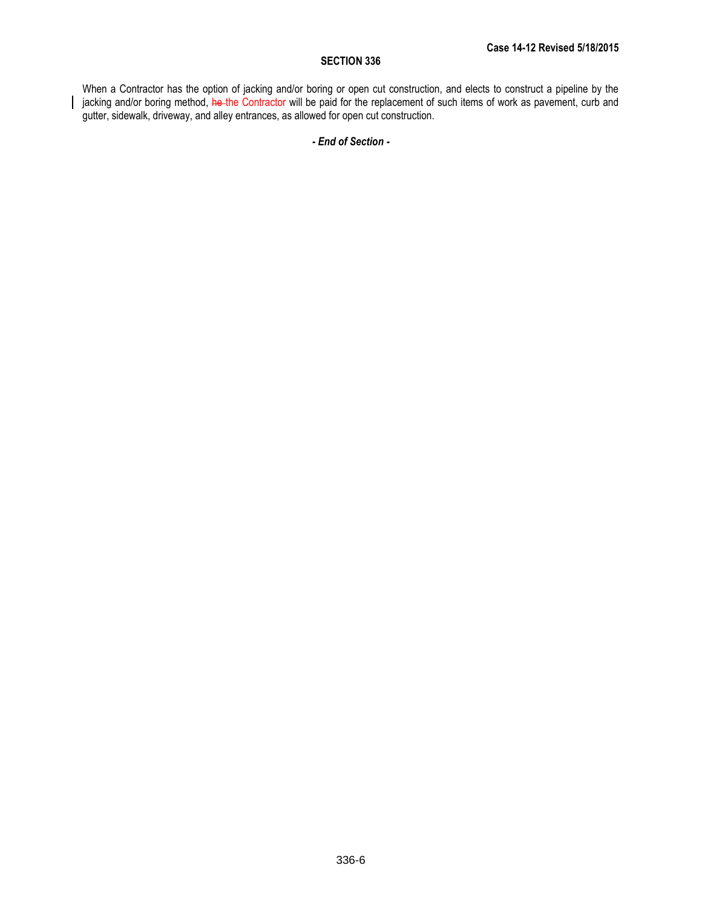When a Contractor has the option of jacking and/or boring or open cut construction, and elects to construct a pipeline by the jacking and/or boring method, he the Contractor will be paid for the replacement of such items of work as pavement, curb and gutter, sidewalk, driveway, and alley entrances, as allowed for open cut construction.

# *- End of Section -*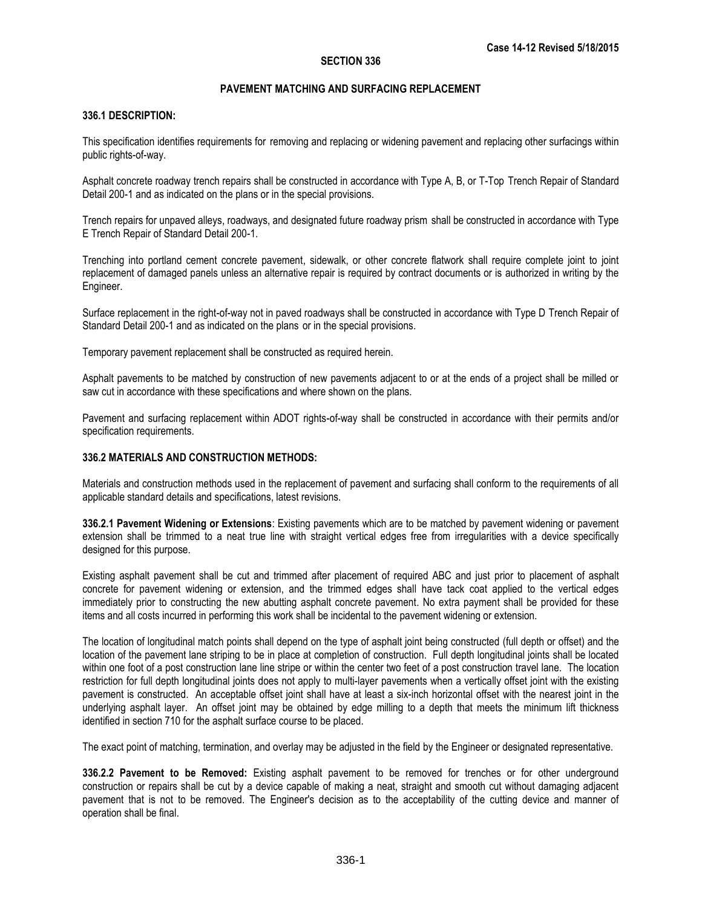# **PAVEMENT MATCHING AND SURFACING REPLACEMENT**

# **336.1 DESCRIPTION:**

This specification identifies requirements for removing and replacing or widening pavement and replacing other surfacings within public rights-of-way.

Asphalt concrete roadway trench repairs shall be constructed in accordance with Type A, B, or T-Top Trench Repair of Standard Detail 200-1 and as indicated on the plans or in the special provisions.

Trench repairs for unpaved alleys, roadways, and designated future roadway prism shall be constructed in accordance with Type E Trench Repair of Standard Detail 200-1.

Trenching into portland cement concrete pavement, sidewalk, or other concrete flatwork shall require complete joint to joint replacement of damaged panels unless an alternative repair is required by contract documents or is authorized in writing by the Engineer.

Surface replacement in the right-of-way not in paved roadways shall be constructed in accordance with Type D Trench Repair of Standard Detail 200-1 and as indicated on the plans or in the special provisions.

Temporary pavement replacement shall be constructed as required herein.

Asphalt pavements to be matched by construction of new pavements adjacent to or at the ends of a project shall be milled or saw cut in accordance with these specifications and where shown on the plans.

Pavement and surfacing replacement within ADOT rights-of-way shall be constructed in accordance with their permits and/or specification requirements.

# **336.2 MATERIALS AND CONSTRUCTION METHODS:**

Materials and construction methods used in the replacement of pavement and surfacing shall conform to the requirements of all applicable standard details and specifications, latest revisions.

**336.2.1 Pavement Widening or Extensions**: Existing pavements which are to be matched by pavement widening or pavement extension shall be trimmed to a neat true line with straight vertical edges free from irregularities with a device specifically designed for this purpose.

Existing asphalt pavement shall be cut and trimmed after placement of required ABC and just prior to placement of asphalt concrete for pavement widening or extension, and the trimmed edges shall have tack coat applied to the vertical edges immediately prior to constructing the new abutting asphalt concrete pavement. No extra payment shall be provided for these items and all costs incurred in performing this work shall be incidental to the pavement widening or extension.

The location of longitudinal match points shall depend on the type of asphalt joint being constructed (full depth or offset) and the location of the pavement lane striping to be in place at completion of construction. Full depth longitudinal joints shall be located within one foot of a post construction lane line stripe or within the center two feet of a post construction travel lane. The location restriction for full depth longitudinal joints does not apply to multi-layer pavements when a vertically offset joint with the existing pavement is constructed. An acceptable offset joint shall have at least a six-inch horizontal offset with the nearest joint in the underlying asphalt layer. An offset joint may be obtained by edge milling to a depth that meets the minimum lift thickness identified in section 710 for the asphalt surface course to be placed.

The exact point of matching, termination, and overlay may be adjusted in the field by the Engineer or designated representative.

**336.2.2 Pavement to be Removed:** Existing asphalt pavement to be removed for trenches or for other underground construction or repairs shall be cut by a device capable of making a neat, straight and smooth cut without damaging adjacent pavement that is not to be removed. The Engineer's decision as to the acceptability of the cutting device and manner of operation shall be final.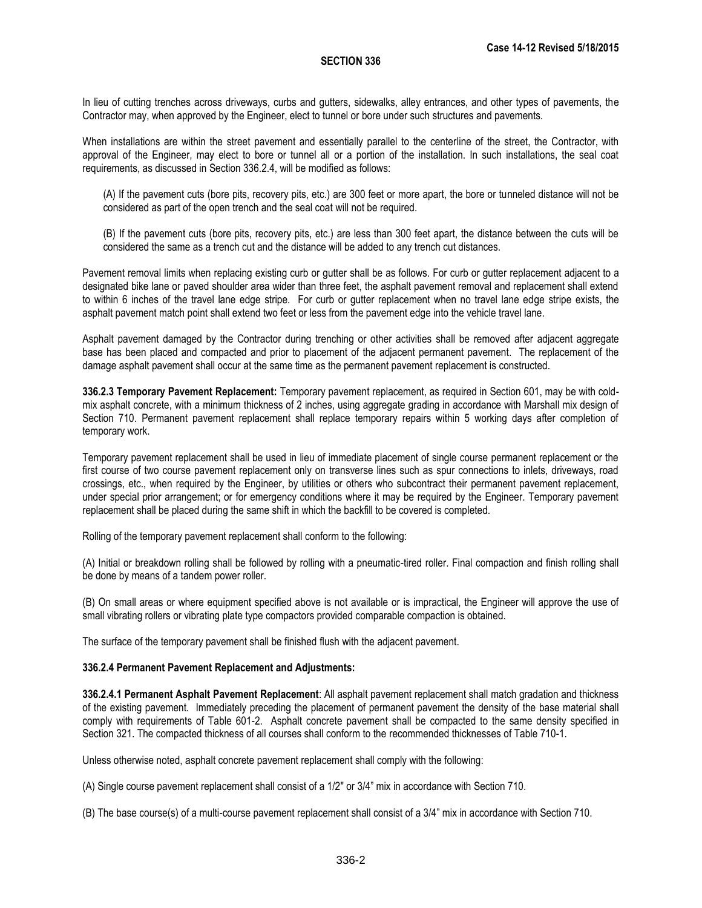In lieu of cutting trenches across driveways, curbs and gutters, sidewalks, alley entrances, and other types of pavements, the Contractor may, when approved by the Engineer, elect to tunnel or bore under such structures and pavements.

When installations are within the street pavement and essentially parallel to the centerline of the street, the Contractor, with approval of the Engineer, may elect to bore or tunnel all or a portion of the installation. In such installations, the seal coat requirements, as discussed in Section 336.2.4, will be modified as follows:

(A) If the pavement cuts (bore pits, recovery pits, etc.) are 300 feet or more apart, the bore or tunneled distance will not be considered as part of the open trench and the seal coat will not be required.

(B) If the pavement cuts (bore pits, recovery pits, etc.) are less than 300 feet apart, the distance between the cuts will be considered the same as a trench cut and the distance will be added to any trench cut distances.

Pavement removal limits when replacing existing curb or gutter shall be as follows. For curb or gutter replacement adjacent to a designated bike lane or paved shoulder area wider than three feet, the asphalt pavement removal and replacement shall extend to within 6 inches of the travel lane edge stripe. For curb or gutter replacement when no travel lane edge stripe exists, the asphalt pavement match point shall extend two feet or less from the pavement edge into the vehicle travel lane.

Asphalt pavement damaged by the Contractor during trenching or other activities shall be removed after adjacent aggregate base has been placed and compacted and prior to placement of the adjacent permanent pavement. The replacement of the damage asphalt pavement shall occur at the same time as the permanent pavement replacement is constructed.

**336.2.3 Temporary Pavement Replacement:** Temporary pavement replacement, as required in Section 601, may be with coldmix asphalt concrete, with a minimum thickness of 2 inches, using aggregate grading in accordance with Marshall mix design of Section 710. Permanent pavement replacement shall replace temporary repairs within 5 working days after completion of temporary work.

Temporary pavement replacement shall be used in lieu of immediate placement of single course permanent replacement or the first course of two course pavement replacement only on transverse lines such as spur connections to inlets, driveways, road crossings, etc., when required by the Engineer, by utilities or others who subcontract their permanent pavement replacement, under special prior arrangement; or for emergency conditions where it may be required by the Engineer. Temporary pavement replacement shall be placed during the same shift in which the backfill to be covered is completed.

Rolling of the temporary pavement replacement shall conform to the following:

(A) Initial or breakdown rolling shall be followed by rolling with a pneumatic-tired roller. Final compaction and finish rolling shall be done by means of a tandem power roller.

(B) On small areas or where equipment specified above is not available or is impractical, the Engineer will approve the use of small vibrating rollers or vibrating plate type compactors provided comparable compaction is obtained.

The surface of the temporary pavement shall be finished flush with the adjacent pavement.

# **336.2.4 Permanent Pavement Replacement and Adjustments:**

**336.2.4.1 Permanent Asphalt Pavement Replacement**: All asphalt pavement replacement shall match gradation and thickness of the existing pavement. Immediately preceding the placement of permanent pavement the density of the base material shall comply with requirements of Table 601-2. Asphalt concrete pavement shall be compacted to the same density specified in Section 321. The compacted thickness of all courses shall conform to the recommended thicknesses of Table 710-1.

Unless otherwise noted, asphalt concrete pavement replacement shall comply with the following:

(A) Single course pavement replacement shall consist of a 1/2" or 3/4" mix in accordance with Section 710.

(B) The base course(s) of a multi-course pavement replacement shall consist of a 3/4" mix in accordance with Section 710.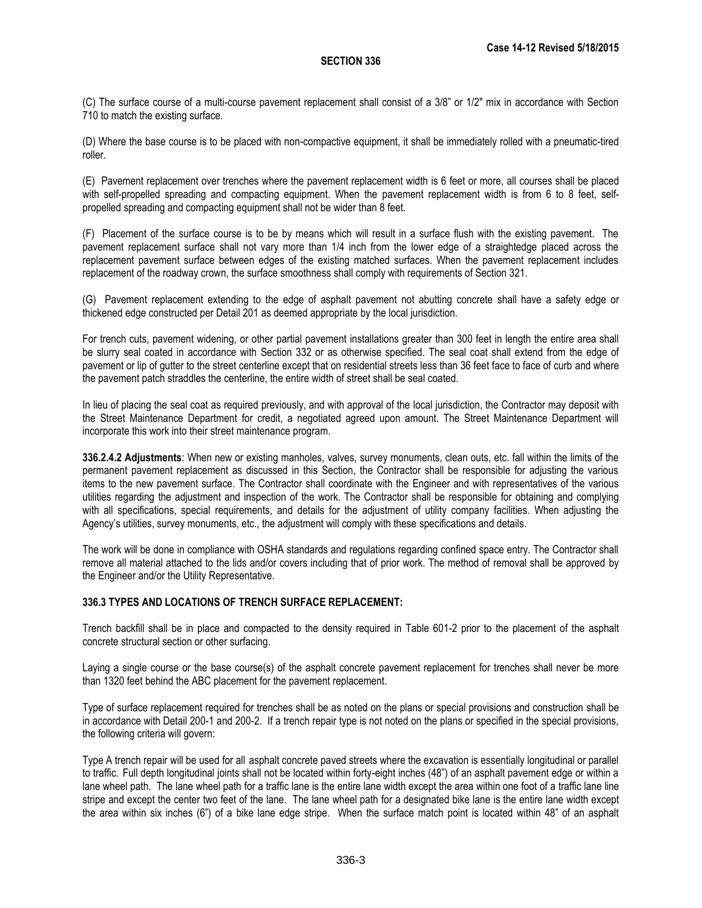(C) The surface course of a multi-course pavement replacement shall consist of a 3/8" or 1/2" mix in accordance with Section 710 to match the existing surface.

(D) Where the base course is to be placed with non-compactive equipment, it shall be immediately rolled with a pneumatic-tired roller.

(E) Pavement replacement over trenches where the pavement replacement width is 6 feet or more, all courses shall be placed with self-propelled spreading and compacting equipment. When the pavement replacement width is from 6 to 8 feet, selfpropelled spreading and compacting equipment shall not be wider than 8 feet.

(F) Placement of the surface course is to be by means which will result in a surface flush with the existing pavement. The pavement replacement surface shall not vary more than 1/4 inch from the lower edge of a straightedge placed across the replacement pavement surface between edges of the existing matched surfaces. When the pavement replacement includes replacement of the roadway crown, the surface smoothness shall comply with requirements of Section 321.

(G) Pavement replacement extending to the edge of asphalt pavement not abutting concrete shall have a safety edge or thickened edge constructed per Detail 201 as deemed appropriate by the local jurisdiction.

For trench cuts, pavement widening, or other partial pavement installations greater than 300 feet in length the entire area shall be slurry seal coated in accordance with Section 332 or as otherwise specified. The seal coat shall extend from the edge of pavement or lip of gutter to the street centerline except that on residential streets less than 36 feet face to face of curb and where the pavement patch straddles the centerline, the entire width of street shall be seal coated.

In lieu of placing the seal coat as required previously, and with approval of the local jurisdiction, the Contractor may deposit with the Street Maintenance Department for credit, a negotiated agreed upon amount. The Street Maintenance Department will incorporate this work into their street maintenance program.

**336.2.4.2 Adjustments**: When new or existing manholes, valves, survey monuments, clean outs, etc. fall within the limits of the permanent pavement replacement as discussed in this Section, the Contractor shall be responsible for adjusting the various items to the new pavement surface. The Contractor shall coordinate with the Engineer and with representatives of the various utilities regarding the adjustment and inspection of the work. The Contractor shall be responsible for obtaining and complying with all specifications, special requirements, and details for the adjustment of utility company facilities. When adjusting the Agency's utilities, survey monuments, etc., the adjustment will comply with these specifications and details.

The work will be done in compliance with OSHA standards and regulations regarding confined space entry. The Contractor shall remove all material attached to the lids and/or covers including that of prior work. The method of removal shall be approved by the Engineer and/or the Utility Representative.

# **336.3 TYPES AND LOCATIONS OF TRENCH SURFACE REPLACEMENT:**

Trench backfill shall be in place and compacted to the density required in Table 601-2 prior to the placement of the asphalt concrete structural section or other surfacing.

Laying a single course or the base course(s) of the asphalt concrete pavement replacement for trenches shall never be more than 1320 feet behind the ABC placement for the pavement replacement.

Type of surface replacement required for trenches shall be as noted on the plans or special provisions and construction shall be in accordance with Detail 200-1 and 200-2. If a trench repair type is not noted on the plans or specified in the special provisions, the following criteria will govern:

Type A trench repair will be used for all asphalt concrete paved streets where the excavation is essentially longitudinal or parallel to traffic. Full depth longitudinal joints shall not be located within forty-eight inches (48") of an asphalt pavement edge or within a lane wheel path. The lane wheel path for a traffic lane is the entire lane width except the area within one foot of a traffic lane line stripe and except the center two feet of the lane. The lane wheel path for a designated bike lane is the entire lane width except the area within six inches (6") of a bike lane edge stripe. When the surface match point is located within 48" of an asphalt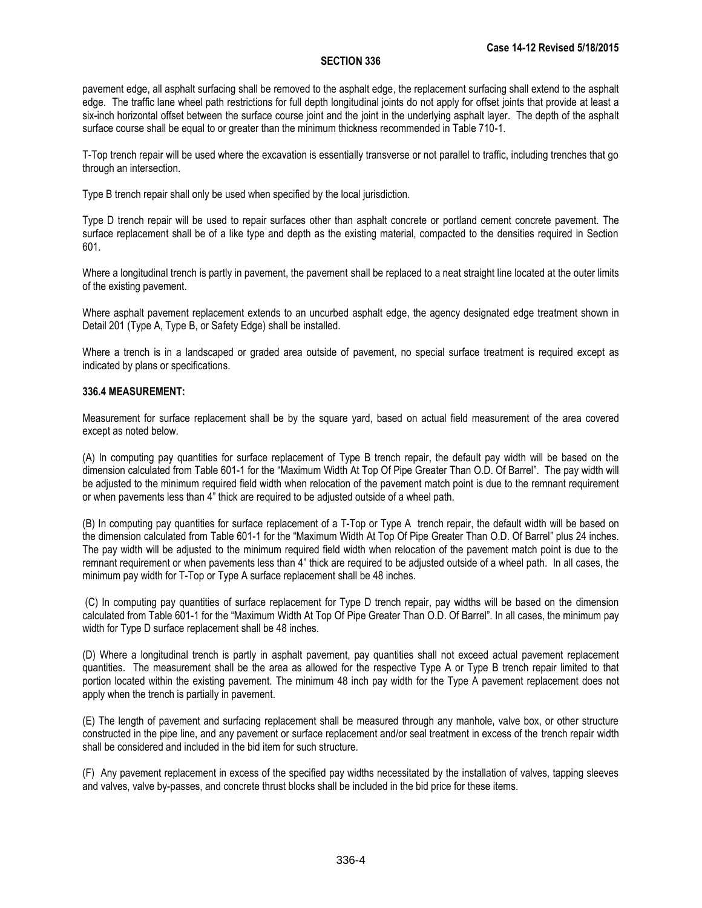pavement edge, all asphalt surfacing shall be removed to the asphalt edge, the replacement surfacing shall extend to the asphalt edge. The traffic lane wheel path restrictions for full depth longitudinal joints do not apply for offset joints that provide at least a six-inch horizontal offset between the surface course joint and the joint in the underlying asphalt layer. The depth of the asphalt surface course shall be equal to or greater than the minimum thickness recommended in Table 710-1.

T-Top trench repair will be used where the excavation is essentially transverse or not parallel to traffic, including trenches that go through an intersection.

Type B trench repair shall only be used when specified by the local jurisdiction.

Type D trench repair will be used to repair surfaces other than asphalt concrete or portland cement concrete pavement. The surface replacement shall be of a like type and depth as the existing material, compacted to the densities required in Section 601.

Where a longitudinal trench is partly in pavement, the pavement shall be replaced to a neat straight line located at the outer limits of the existing pavement.

Where asphalt pavement replacement extends to an uncurbed asphalt edge, the agency designated edge treatment shown in Detail 201 (Type A, Type B, or Safety Edge) shall be installed.

Where a trench is in a landscaped or graded area outside of pavement, no special surface treatment is required except as indicated by plans or specifications.

# **336.4 MEASUREMENT:**

Measurement for surface replacement shall be by the square yard, based on actual field measurement of the area covered except as noted below.

(A) In computing pay quantities for surface replacement of Type B trench repair, the default pay width will be based on the dimension calculated from Table 601-1 for the "Maximum Width At Top Of Pipe Greater Than O.D. Of Barrel". The pay width will be adjusted to the minimum required field width when relocation of the pavement match point is due to the remnant requirement or when pavements less than 4" thick are required to be adjusted outside of a wheel path.

(B) In computing pay quantities for surface replacement of a T-Top or Type A trench repair, the default width will be based on the dimension calculated from Table 601-1 for the "Maximum Width At Top Of Pipe Greater Than O.D. Of Barrel" plus 24 inches. The pay width will be adjusted to the minimum required field width when relocation of the pavement match point is due to the remnant requirement or when pavements less than 4" thick are required to be adjusted outside of a wheel path. In all cases, the minimum pay width for T-Top or Type A surface replacement shall be 48 inches.

(C) In computing pay quantities of surface replacement for Type D trench repair, pay widths will be based on the dimension calculated from Table 601-1 for the "Maximum Width At Top Of Pipe Greater Than O.D. Of Barrel". In all cases, the minimum pay width for Type D surface replacement shall be 48 inches.

(D) Where a longitudinal trench is partly in asphalt pavement, pay quantities shall not exceed actual pavement replacement quantities. The measurement shall be the area as allowed for the respective Type A or Type B trench repair limited to that portion located within the existing pavement. The minimum 48 inch pay width for the Type A pavement replacement does not apply when the trench is partially in pavement.

(E) The length of pavement and surfacing replacement shall be measured through any manhole, valve box, or other structure constructed in the pipe line, and any pavement or surface replacement and/or seal treatment in excess of the trench repair width shall be considered and included in the bid item for such structure.

(F) Any pavement replacement in excess of the specified pay widths necessitated by the installation of valves, tapping sleeves and valves, valve by-passes, and concrete thrust blocks shall be included in the bid price for these items.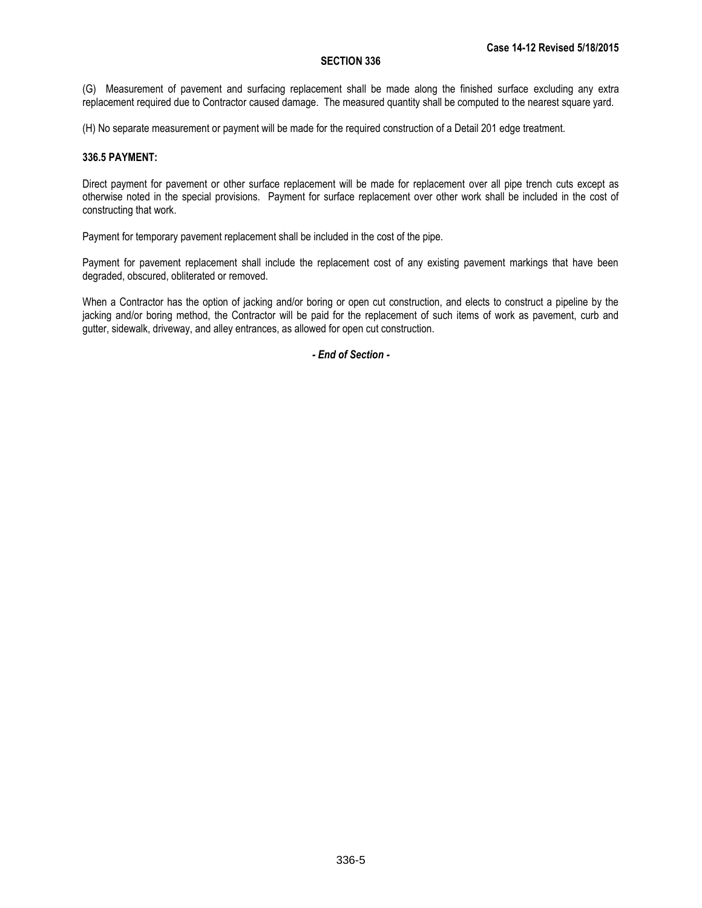(G) Measurement of pavement and surfacing replacement shall be made along the finished surface excluding any extra replacement required due to Contractor caused damage. The measured quantity shall be computed to the nearest square yard.

(H) No separate measurement or payment will be made for the required construction of a Detail 201 edge treatment.

### **336.5 PAYMENT:**

Direct payment for pavement or other surface replacement will be made for replacement over all pipe trench cuts except as otherwise noted in the special provisions. Payment for surface replacement over other work shall be included in the cost of constructing that work.

Payment for temporary pavement replacement shall be included in the cost of the pipe.

Payment for pavement replacement shall include the replacement cost of any existing pavement markings that have been degraded, obscured, obliterated or removed.

When a Contractor has the option of jacking and/or boring or open cut construction, and elects to construct a pipeline by the jacking and/or boring method, the Contractor will be paid for the replacement of such items of work as pavement, curb and gutter, sidewalk, driveway, and alley entrances, as allowed for open cut construction.

*- End of Section -*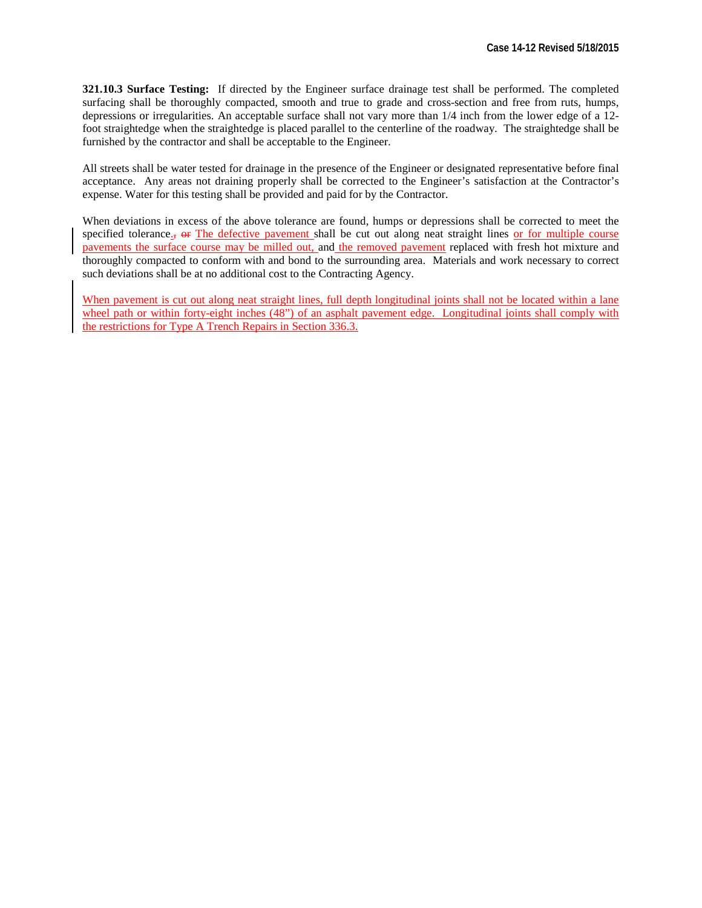**321.10.3 Surface Testing:** If directed by the Engineer surface drainage test shall be performed. The completed surfacing shall be thoroughly compacted, smooth and true to grade and cross-section and free from ruts, humps, depressions or irregularities. An acceptable surface shall not vary more than 1/4 inch from the lower edge of a 12 foot straightedge when the straightedge is placed parallel to the centerline of the roadway. The straightedge shall be furnished by the contractor and shall be acceptable to the Engineer.

All streets shall be water tested for drainage in the presence of the Engineer or designated representative before final acceptance. Any areas not draining properly shall be corrected to the Engineer's satisfaction at the Contractor's expense. Water for this testing shall be provided and paid for by the Contractor.

When deviations in excess of the above tolerance are found, humps or depressions shall be corrected to meet the specified tolerance.,  $\Theta$ . The defective pavement shall be cut out along neat straight lines or for multiple course pavements the surface course may be milled out, and the removed pavement replaced with fresh hot mixture and thoroughly compacted to conform with and bond to the surrounding area. Materials and work necessary to correct such deviations shall be at no additional cost to the Contracting Agency.

When pavement is cut out along neat straight lines, full depth longitudinal joints shall not be located within a lane wheel path or within forty-eight inches (48") of an asphalt pavement edge. Longitudinal joints shall comply with the restrictions for Type A Trench Repairs in Section 336.3.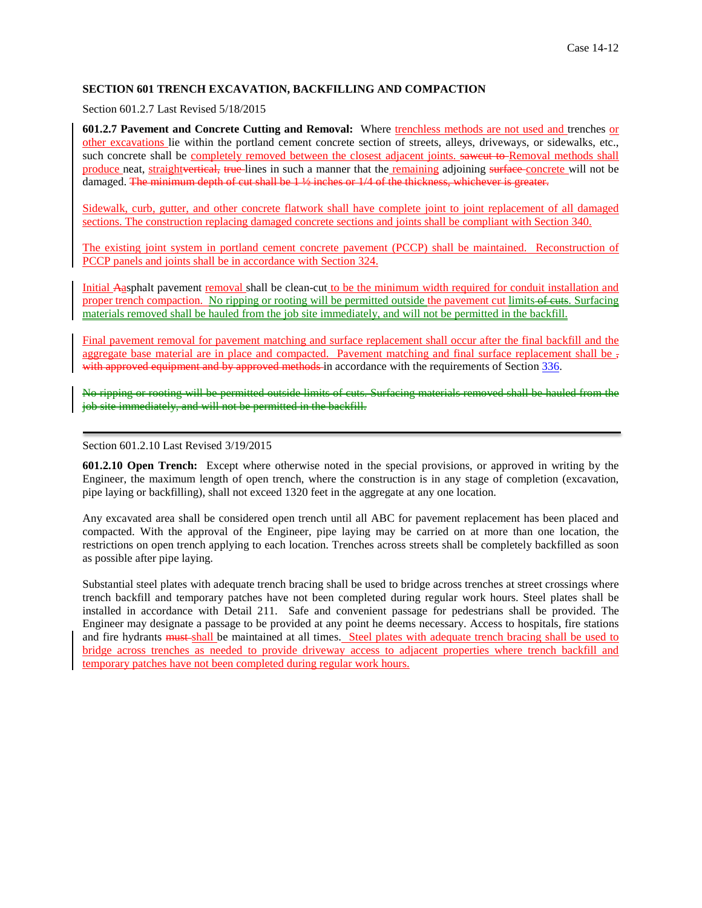# **SECTION 601 TRENCH EXCAVATION, BACKFILLING AND COMPACTION**

Section 601.2.7 Last Revised 5/18/2015

**601.2.7 Pavement and Concrete Cutting and Removal:** Where trenchless methods are not used and trenches or other excavations lie within the portland cement concrete section of streets, alleys, driveways, or sidewalks, etc., such concrete shall be completely removed between the closest adjacent joints. saweut to Removal methods shall produce neat, straightvertical, true-lines in such a manner that the remaining adjoining surface-concrete will not be damaged. The minimum depth of cut shall be 1  $\frac{1}{2}$  inches or 1/4 of the thickness, whichever is greater.

Sidewalk, curb, gutter, and other concrete flatwork shall have complete joint to joint replacement of all damaged sections. The construction replacing damaged concrete sections and joints shall be compliant with Section 340.

The existing joint system in portland cement concrete pavement (PCCP) shall be maintained. Reconstruction of PCCP panels and joints shall be in accordance with Section 324.

Initial Aasphalt pavement removal shall be clean-cut to be the minimum width required for conduit installation and proper trench compaction. No ripping or rooting will be permitted outside the pavement cut limits of euts. Surfacing materials removed shall be hauled from the job site immediately, and will not be permitted in the backfill.

Final pavement removal for pavement matching and surface replacement shall occur after the final backfill and the aggregate base material are in place and compacted. Pavement matching and final surface replacement shall be, with approved equipment and by approved methods in accordance with the requirements of Section 336.

No ripping or rooting will be permitted outside limits of cuts. Surfacing materials removed shall be hauled from the job site immediately, and will not be permitted in the backfill.

Section 601.2.10 Last Revised 3/19/2015

**601.2.10 Open Trench:** Except where otherwise noted in the special provisions, or approved in writing by the Engineer, the maximum length of open trench, where the construction is in any stage of completion (excavation, pipe laying or backfilling), shall not exceed 1320 feet in the aggregate at any one location.

Any excavated area shall be considered open trench until all ABC for pavement replacement has been placed and compacted. With the approval of the Engineer, pipe laying may be carried on at more than one location, the restrictions on open trench applying to each location. Trenches across streets shall be completely backfilled as soon as possible after pipe laying.

Substantial steel plates with adequate trench bracing shall be used to bridge across trenches at street crossings where trench backfill and temporary patches have not been completed during regular work hours. Steel plates shall be installed in accordance with Detail 211. Safe and convenient passage for pedestrians shall be provided. The Engineer may designate a passage to be provided at any point he deems necessary. Access to hospitals, fire stations and fire hydrants must shall be maintained at all times. Steel plates with adequate trench bracing shall be used to bridge across trenches as needed to provide driveway access to adjacent properties where trench backfill and temporary patches have not been completed during regular work hours.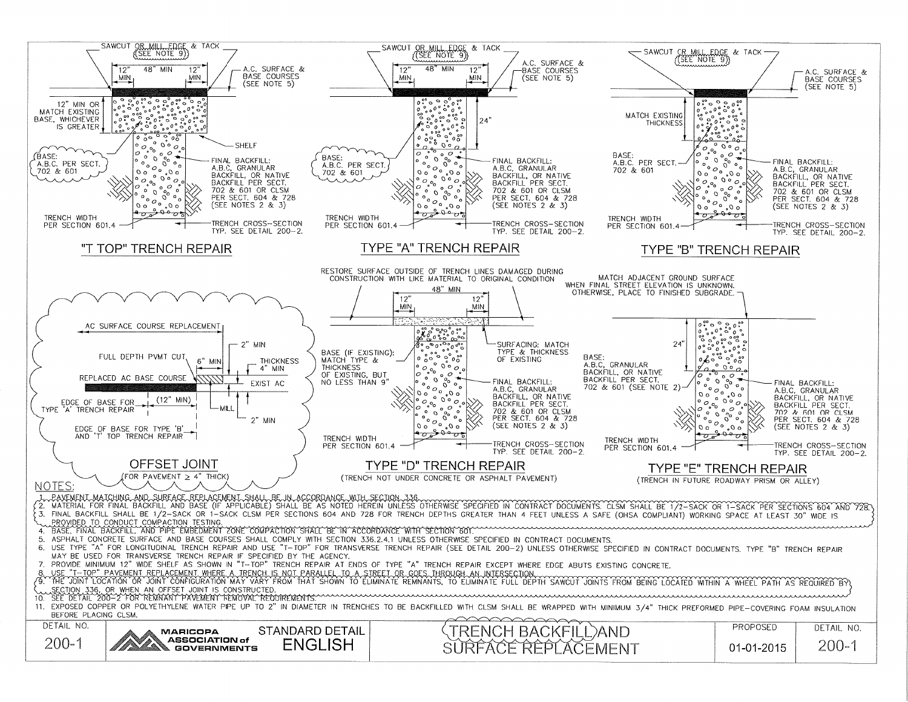